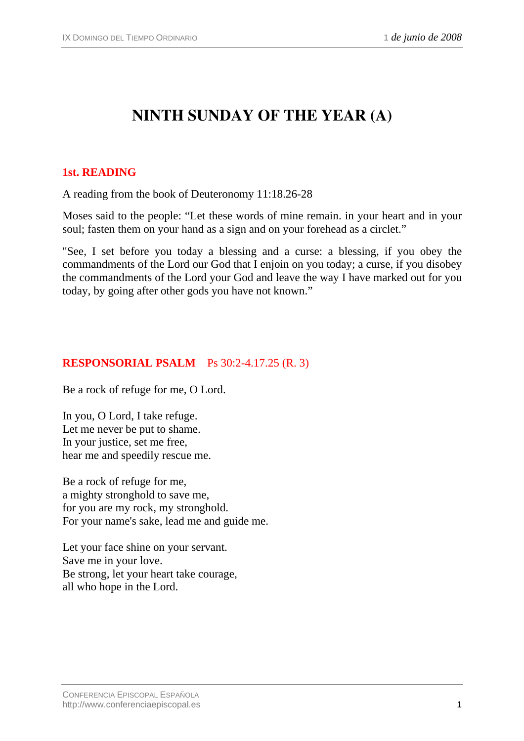# **NINTH SUNDAY OF THE YEAR (A)**

#### **1st. READING**

A reading from the book of Deuteronomy 11:18.26-28

Moses said to the people: "Let these words of mine remain. in your heart and in your soul; fasten them on your hand as a sign and on your forehead as a circlet."

"See, I set before you today a blessing and a curse: a blessing, if you obey the commandments of the Lord our God that I enjoin on you today; a curse, if you disobey the commandments of the Lord your God and leave the way I have marked out for you today, by going after other gods you have not known."

#### **RESPONSORIAL PSALM** Ps 30:2-4.17.25 (R. 3)

Be a rock of refuge for me, O Lord.

In you, O Lord, I take refuge. Let me never be put to shame. In your justice, set me free, hear me and speedily rescue me.

Be a rock of refuge for me, a mighty stronghold to save me, for you are my rock, my stronghold. For your name's sake, lead me and guide me.

Let your face shine on your servant. Save me in your love. Be strong, let your heart take courage, all who hope in the Lord.